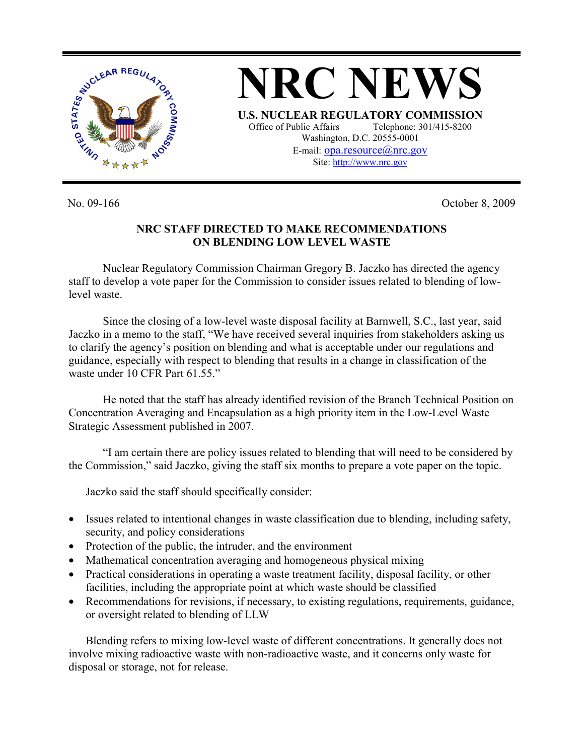

No. 09-166 Corober 8, 2009

## **NRC STAFF DIRECTED TO MAKE RECOMMENDATIONS ON BLENDING LOW LEVEL WASTE**

Nuclear Regulatory Commission Chairman Gregory B. Jaczko has directed the agency staff to develop a vote paper for the Commission to consider issues related to blending of lowlevel waste.

Since the closing of a low-level waste disposal facility at Barnwell, S.C., last year, said Jaczko in a memo to the staff, "We have received several inquiries from stakeholders asking us to clarify the agency's position on blending and what is acceptable under our regulations and guidance, especially with respect to blending that results in a change in classification of the waste under 10 CFR Part 61.55."

He noted that the staff has already identified revision of the Branch Technical Position on Concentration Averaging and Encapsulation as a high priority item in the Low-Level Waste Strategic Assessment published in 2007.

"I am certain there are policy issues related to blending that will need to be considered by the Commission," said Jaczko, giving the staff six months to prepare a vote paper on the topic.

Jaczko said the staff should specifically consider:

- Issues related to intentional changes in waste classification due to blending, including safety, security, and policy considerations
- Protection of the public, the intruder, and the environment
- Mathematical concentration averaging and homogeneous physical mixing
- Practical considerations in operating a waste treatment facility, disposal facility, or other facilities, including the appropriate point at which waste should be classified
- Recommendations for revisions, if necessary, to existing regulations, requirements, guidance, or oversight related to blending of LLW

Blending refers to mixing low-level waste of different concentrations. It generally does not involve mixing radioactive waste with non-radioactive waste, and it concerns only waste for disposal or storage, not for release.